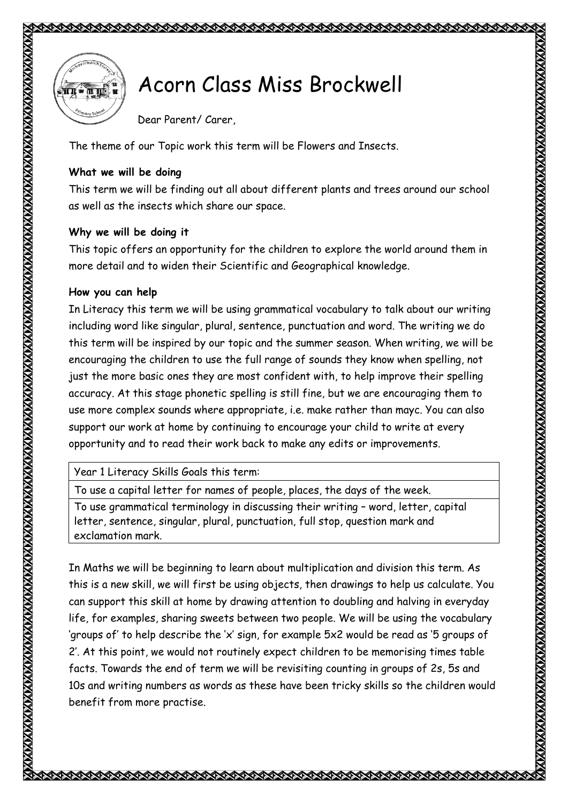



## **Acorn Class Miss Brockwell**

Dear Parent/ Carer,

The theme of our Topic work this term will be Flowers and Insects.

**CONTRACTORY** 

## **What we will be doing**

This term we will be finding out all about different plants and trees around our school as well as the insects which share our space.

## **Why we will be doing it**

This topic offers an opportunity for the children to explore the world around them in more detail and to widen their Scientific and Geographical knowledge.

## **How you can help**

In Literacy this term we will be using grammatical vocabulary to talk about our writing including word like singular, plural, sentence, punctuation and word. The writing we do this term will be inspired by our topic and the summer season. When writing, we will be encouraging the children to use the full range of sounds they know when spelling, not just the more basic ones they are most confident with, to help improve their spelling accuracy. At this stage phonetic spelling is still fine, but we are encouraging them to use more complex sounds where appropriate, i.e. make rather than mayc. You can also support our work at home by continuing to encourage your child to write at every opportunity and to read their work back to make any edits or improvements.

Year 1 Literacy Skills Goals this term:

To use a capital letter for names of people, places, the days of the week.

To use grammatical terminology in discussing their writing – word, letter, capital letter, sentence, singular, plural, punctuation, full stop, question mark and exclamation mark.

In Maths we will be beginning to learn about multiplication and division this term. As this is a new skill, we will first be using objects, then drawings to help us calculate. You can support this skill at home by drawing attention to doubling and halving in everyday life, for examples, sharing sweets between two people. We will be using the vocabulary 'groups of' to help describe the 'x' sign, for example 5x2 would be read as '5 groups of 2'. At this point, we would not routinely expect children to be memorising times table facts. Towards the end of term we will be revisiting counting in groups of 2s, 5s and 10s and writing numbers as words as these have been tricky skills so the children would benefit from more practise.